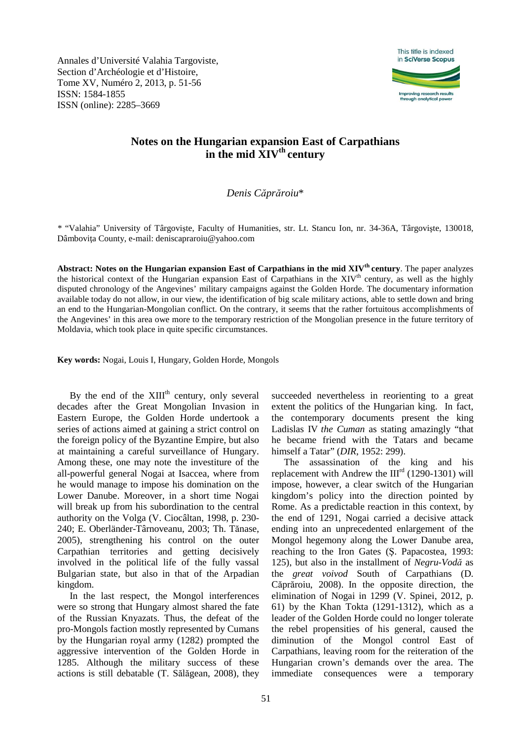Annales d'Université Valahia Targoviste, Section d'Archéologie et d'Histoire, Tome XV, Numéro 2, 2013, p. 51-56 ISSN: 1584-1855 ISSN (online): 2285–3669



# **Notes on the Hungarian expansion East of Carpathians in the mid XIVth century**

# *Denis Căprăroiu*\*

*\** "Valahia" University of Târgovişte, Faculty of Humanities, str. Lt. Stancu Ion, nr. 34-36A, Târgovişte, 130018, Dâmbovita County, e-mail: deniscapraroiu@yahoo.com

**Abstract: Notes on the Hungarian expansion East of Carpathians in the mid XIVth century**. The paper analyzes the historical context of the Hungarian expansion East of Carpathians in the  $XIV<sup>th</sup>$  century, as well as the highly disputed chronology of the Angevines' military campaigns against the Golden Horde. The documentary information available today do not allow, in our view, the identification of big scale military actions, able to settle down and bring an end to the Hungarian-Mongolian conflict. On the contrary, it seems that the rather fortuitous accomplishments of the Angevines' in this area owe more to the temporary restriction of the Mongolian presence in the future territory of Moldavia, which took place in quite specific circumstances.

**Key words:** Nogai, Louis I, Hungary, Golden Horde, Mongols

By the end of the  $XIII<sup>th</sup>$  century, only several decades after the Great Mongolian Invasion in Eastern Europe, the Golden Horde undertook a series of actions aimed at gaining a strict control on the foreign policy of the Byzantine Empire, but also at maintaining a careful surveillance of Hungary. Among these, one may note the investiture of the all-powerful general Nogai at Isaccea, where from he would manage to impose his domination on the Lower Danube. Moreover, in a short time Nogai will break up from his subordination to the central authority on the Volga (V. Ciocâltan, 1998, p. 230- 240; E. Oberländer-Târnoveanu, 2003; Th. Tănase, 2005), strengthening his control on the outer Carpathian territories and getting decisively involved in the political life of the fully vassal Bulgarian state, but also in that of the Arpadian kingdom.

In the last respect, the Mongol interferences were so strong that Hungary almost shared the fate of the Russian Knyazats. Thus, the defeat of the pro-Mongols faction mostly represented by Cumans by the Hungarian royal army (1282) prompted the aggressive intervention of the Golden Horde in 1285. Although the military success of these actions is still debatable (T. Sălăgean, 2008), they

succeeded nevertheless in reorienting to a great extent the politics of the Hungarian king. In fact, the contemporary documents present the king Ladislas IV *the Cuman* as stating amazingly "that he became friend with the Tatars and became himself a Tatar" (*DIR*, 1952: 299).

The assassination of the king and his replacement with Andrew the  $III<sup>rd</sup>$  (1290-1301) will impose, however, a clear switch of the Hungarian kingdom's policy into the direction pointed by Rome. As a predictable reaction in this context, by the end of 1291, Nogai carried a decisive attack ending into an unprecedented enlargement of the Mongol hegemony along the Lower Danube area, reaching to the Iron Gates (Ş. Papacostea, 1993: 125), but also in the installment of *Negru-Vodă* as the *great voivod* South of Carpathians (D. Căprăroiu, 2008). In the opposite direction, the elimination of Nogai in 1299 (V. Spinei, 2012, p. 61) by the Khan Tokta (1291-1312), which as a leader of the Golden Horde could no longer tolerate the rebel propensities of his general, caused the diminution of the Mongol control East of Carpathians, leaving room for the reiteration of the Hungarian crown's demands over the area. The immediate consequences were a temporary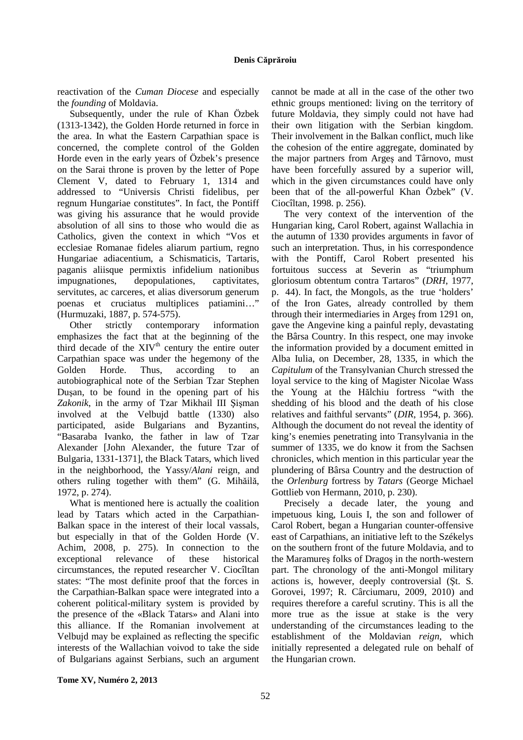reactivation of the *Cuman Diocese* and especially the *founding* of Moldavia.

Subsequently, under the rule of Khan Özbek (1313-1342), the Golden Horde returned in force in the area. In what the Eastern Carpathian space is concerned, the complete control of the Golden Horde even in the early years of Özbek's presence on the Sarai throne is proven by the letter of Pope Clement V, dated to February 1, 1314 and addressed to "Universis Christi fidelibus, per regnum Hungariae constitutes". In fact, the Pontiff was giving his assurance that he would provide absolution of all sins to those who would die as Catholics, given the context in which "Vos et ecclesiae Romanae fideles aliarum partium, regno Hungariae adiacentium, a Schismaticis, Tartaris, paganis aliisque permixtis infidelium nationibus impugnationes, depopulationes, captivitates, servitutes, ac carceres, et alias diversorum generum poenas et cruciatus multiplices patiamini…" (Hurmuzaki, 1887, p. 574-575).

Other strictly contemporary information emphasizes the fact that at the beginning of the third decade of the  $XIV<sup>th</sup>$  century the entire outer Carpathian space was under the hegemony of the Golden Horde. Thus, according to an autobiographical note of the Serbian Tzar Stephen Duşan, to be found in the opening part of his *Zakonik*, in the army of Tzar Mikhail III Şişman involved at the Velbujd battle (1330) also participated, aside Bulgarians and Byzantins, "Basaraba Ivanko, the father in law of Tzar Alexander [John Alexander, the future Tzar of Bulgaria, 1331-1371], the Black Tatars, which lived in the neighborhood, the Yassy/*Alani* reign, and others ruling together with them" (G. Mihăilă, 1972, p. 274).

What is mentioned here is actually the coalition lead by Tatars which acted in the Carpathian-Balkan space in the interest of their local vassals, but especially in that of the Golden Horde (V. Achim, 2008, p. 275). In connection to the exceptional relevance of these historical circumstances, the reputed researcher V. Ciocîltan states: "The most definite proof that the forces in the Carpathian-Balkan space were integrated into a coherent political-military system is provided by the presence of the «Black Tatars» and Alani into this alliance. If the Romanian involvement at Velbujd may be explained as reflecting the specific interests of the Wallachian voivod to take the side of Bulgarians against Serbians, such an argument

cannot be made at all in the case of the other two ethnic groups mentioned: living on the territory of future Moldavia, they simply could not have had their own litigation with the Serbian kingdom. Their involvement in the Balkan conflict, much like the cohesion of the entire aggregate, dominated by the major partners from Argeş and Târnovo, must have been forcefully assured by a superior will, which in the given circumstances could have only been that of the all-powerful Khan Özbek" (V. Ciocîltan, 1998. p. 256).

The very context of the intervention of the Hungarian king, Carol Robert, against Wallachia in the autumn of 1330 provides arguments in favor of such an interpretation. Thus, in his correspondence with the Pontiff, Carol Robert presented his fortuitous success at Severin as "triumphum gloriosum obtentum contra Tartaros" (*DRH*, 1977, p. 44). In fact, the Mongols, as the true 'holders' of the Iron Gates, already controlled by them through their intermediaries in Argeş from 1291 on, gave the Angevine king a painful reply, devastating the Bârsa Country. In this respect, one may invoke the information provided by a document emitted in Alba Iulia, on December, 28, 1335, in which the *Capitulum* of the Transylvanian Church stressed the loyal service to the king of Magister Nicolae Wass the Young at the Hălchiu fortress "with the shedding of his blood and the death of his close relatives and faithful servants" (*DIR*, 1954, p. 366). Although the document do not reveal the identity of king's enemies penetrating into Transylvania in the summer of 1335, we do know it from the Sachsen chronicles, which mention in this particular year the plundering of Bârsa Country and the destruction of the *Orlenburg* fortress by *Tatars* (George Michael Gottlieb von Hermann, 2010, p. 230).

Precisely a decade later, the young and impetuous king, Louis I, the son and follower of Carol Robert, began a Hungarian counter-offensive east of Carpathians, an initiative left to the Székelys on the southern front of the future Moldavia, and to the Maramureş folks of Dragoş in the north-western part. The chronology of the anti-Mongol military actions is, however, deeply controversial (Şt. S. Gorovei, 1997; R. Cârciumaru, 2009, 2010) and requires therefore a careful scrutiny. This is all the more true as the issue at stake is the very understanding of the circumstances leading to the establishment of the Moldavian *reign*, which initially represented a delegated rule on behalf of the Hungarian crown.

**Tome XV, Numéro 2, 2013**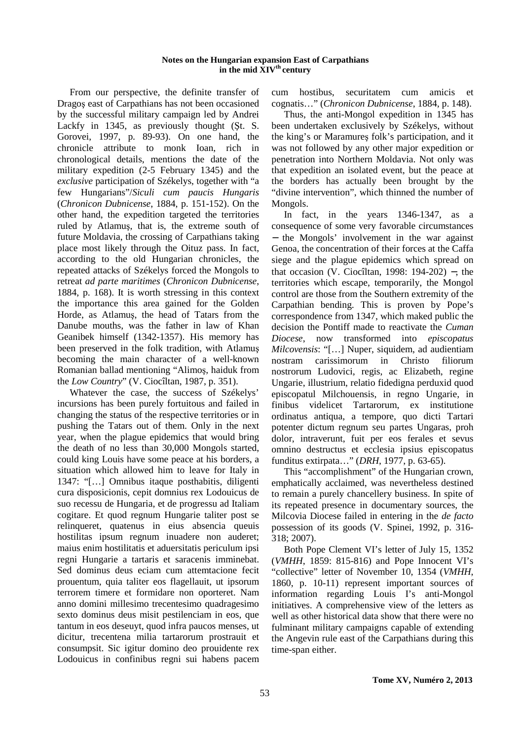## **Notes on the Hungarian expansion East of Carpathians in the mid XIVth century**

From our perspective, the definite transfer of Dragoş east of Carpathians has not been occasioned by the successful military campaign led by Andrei Lackfy in 1345, as previously thought (Şt. S. Gorovei, 1997, p. 89-93). On one hand, the chronicle attribute to monk Ioan, rich in chronological details, mentions the date of the military expedition (2-5 February 1345) and the *exclusive* participation of Székelys, together with "a few Hungarians"/*Siculi cum paucis Hungaris* (*Chronicon Dubnicense*, 1884, p. 151-152). On the other hand, the expedition targeted the territories ruled by Atlamuş, that is, the extreme south of future Moldavia, the crossing of Carpathians taking place most likely through the Oituz pass. In fact, according to the old Hungarian chronicles, the repeated attacks of Székelys forced the Mongols to retreat *ad parte maritimes* (*Chronicon Dubnicense*, 1884, p. 168). It is worth stressing in this context the importance this area gained for the Golden Horde, as Atlamuş, the head of Tatars from the Danube mouths, was the father in law of Khan Geanibek himself (1342-1357). His memory has been preserved in the folk tradition, with Atlamuş becoming the main character of a well-known Romanian ballad mentioning "Alimoş, haiduk from the *Low Country*" (V. Ciocîltan, 1987, p. 351).

Whatever the case, the success of Székelys' incursions has been purely fortuitous and failed in changing the status of the respective territories or in pushing the Tatars out of them. Only in the next year, when the plague epidemics that would bring the death of no less than 30,000 Mongols started, could king Louis have some peace at his borders, a situation which allowed him to leave for Italy in 1347: "[…] Omnibus itaque posthabitis, diligenti cura disposicionis, cepit domnius rex Lodouicus de suo recessu de Hungaria, et de progressu ad Italiam cogitare. Et quod regnum Hungarie taliter post se relinqueret, quatenus in eius absencia queuis hostilitas ipsum regnum inuadere non auderet; maius enim hostilitatis et aduersitatis periculum ipsi regni Hungarie a tartaris et saracenis imminebat. Sed dominus deus eciam cum attemtacione fecit prouentum, quia taliter eos flagellauit, ut ipsorum terrorem timere et formidare non oporteret. Nam anno domini millesimo trecentesimo quadragesimo sexto dominus deus misit pestilenciam in eos, que tantum in eos deseuyt, quod infra paucos menses, ut dicitur, trecentena milia tartarorum prostrauit et consumpsit. Sic igitur domino deo prouidente rex Lodouicus in confinibus regni sui habens pacem cum hostibus, securitatem cum amicis et cognatis…" (*Chronicon Dubnicense*, 1884, p. 148).

Thus, the anti-Mongol expedition in 1345 has been undertaken exclusively by Székelys, without the king's or Maramureş folk's participation, and it was not followed by any other major expedition or penetration into Northern Moldavia. Not only was that expedition an isolated event, but the peace at the borders has actually been brought by the "divine intervention", which thinned the number of Mongols.

In fact, in the years 1346-1347, as a consequence of some very favorable circumstances − the Mongols' involvement in the war against Genoa, the concentration of their forces at the Caffa siege and the plague epidemics which spread on that occasion (V. Ciocîltan, 1998: 194-202) −, the territories which escape, temporarily, the Mongol control are those from the Southern extremity of the Carpathian bending. This is proven by Pope's correspondence from 1347, which maked public the decision the Pontiff made to reactivate the *Cuman Diocese*, now transformed into *episcopatus Milcovensis*: "[…] Nuper, siquidem, ad audientiam nostram carissimorum in Christo filiorum nostrorum Ludovici, regis, ac Elizabeth, regine Ungarie, illustrium, relatio fidedigna perduxid quod episcopatul Milchouensis, in regno Ungarie, in finibus videlicet Tartarorum, ex institutione ordinatus antiqua, a tempore, quo dicti Tartari potenter dictum regnum seu partes Ungaras, proh dolor, intraverunt, fuit per eos ferales et sevus omnino destructus et ecclesia ipsius episcopatus funditus extirpata…" (*DRH*, 1977, p. 63-65).

This "accomplishment" of the Hungarian crown, emphatically acclaimed, was nevertheless destined to remain a purely chancellery business. In spite of its repeated presence in documentary sources, the Milcovia Diocese failed in entering in the *de facto* possession of its goods (V. Spinei, 1992, p. 316- 318; 2007).

Both Pope Clement VI's letter of July 15, 1352 (*VMHH*, 1859: 815-816) and Pope Innocent VI's "collective" letter of November 10, 1354 (*VMHH*, 1860, p. 10-11) represent important sources of information regarding Louis I's anti-Mongol initiatives. A comprehensive view of the letters as well as other historical data show that there were no fulminant military campaigns capable of extending the Angevin rule east of the Carpathians during this time-span either.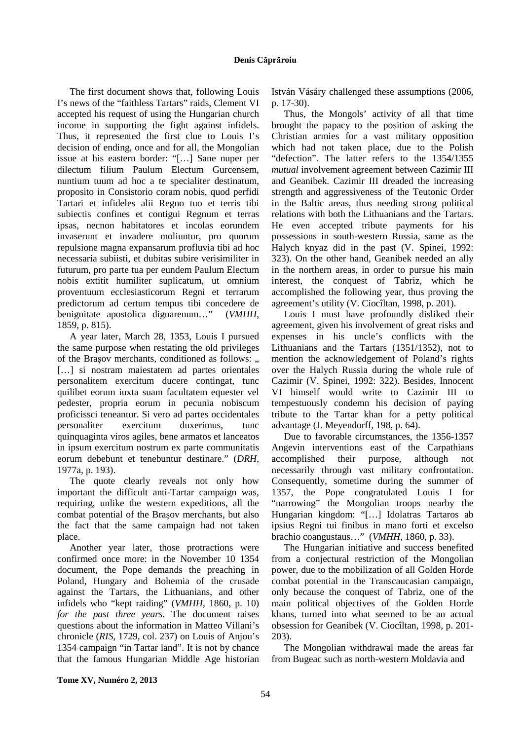## **Denis Căprăroiu**

The first document shows that, following Louis I's news of the "faithless Tartars" raids, Clement VI accepted his request of using the Hungarian church income in supporting the fight against infidels. Thus, it represented the first clue to Louis I's decision of ending, once and for all, the Mongolian issue at his eastern border: "[…] Sane nuper per dilectum filium Paulum Electum Gurcensem, nuntium tuum ad hoc a te specialiter destinatum, proposito in Consistorio coram nobis, quod perfidi Tartari et infideles alii Regno tuo et terris tibi subiectis confines et contigui Regnum et terras ipsas, necnon habitatores et incolas eorundem invaserunt et invadere moliuntur, pro quorum repulsione magna expansarum profluvia tibi ad hoc necessaria subiisti, et dubitas subire verisimiliter in futurum, pro parte tua per eundem Paulum Electum nobis extitit humiliter suplicatum, ut omnium proventuum ecclesiasticorum Regni et terrarum predictorum ad certum tempus tibi concedere de benignitate apostolica dignarenum…" (*VMHH*, 1859, p. 815).

A year later, March 28, 1353, Louis I pursued the same purpose when restating the old privileges of the Brașov merchants, conditioned as follows: " [...] si nostram maiestatem ad partes orientales personalitem exercitum ducere contingat, tunc quilibet eorum iuxta suam facultatem equester vel pedester, propria eorum in pecunia nobiscum proficissci teneantur. Si vero ad partes occidentales personaliter exercitum duxerimus, tunc quinquaginta viros agiles, bene armatos et lanceatos in ipsum exercitum nostrum ex parte communitatis eorum debebunt et tenebuntur destinare." (*DRH*, 1977a, p. 193).

The quote clearly reveals not only how important the difficult anti-Tartar campaign was, requiring, unlike the western expeditions, all the combat potential of the Braşov merchants, but also the fact that the same campaign had not taken place.

Another year later, those protractions were confirmed once more: in the November 10 1354 document, the Pope demands the preaching in Poland, Hungary and Bohemia of the crusade against the Tartars, the Lithuanians, and other infidels who "kept raiding" (*VMHH*, 1860, p. 10) *for the past three years*. The document raises questions about the information in Matteo Villani's chronicle (*RIS*, 1729, col. 237) on Louis of Anjou's 1354 campaign "in Tartar land". It is not by chance that the famous Hungarian Middle Age historian István Vásáry challenged these assumptions (2006, p. 17-30).

Thus, the Mongols' activity of all that time brought the papacy to the position of asking the Christian armies for a vast military opposition which had not taken place, due to the Polish "defection". The latter refers to the 1354/1355 *mutual* involvement agreement between Cazimir III and Geanibek. Cazimir III dreaded the increasing strength and aggressiveness of the Teutonic Order in the Baltic areas, thus needing strong political relations with both the Lithuanians and the Tartars. He even accepted tribute payments for his possessions in south-western Russia, same as the Halych knyaz did in the past (V. Spinei, 1992: 323). On the other hand, Geanibek needed an ally in the northern areas, in order to pursue his main interest, the conquest of Tabriz, which he accomplished the following year, thus proving the agreement's utility (V. Ciocîltan, 1998, p. 201).

Louis I must have profoundly disliked their agreement, given his involvement of great risks and expenses in his uncle's conflicts with the Lithuanians and the Tartars (1351/1352), not to mention the acknowledgement of Poland's rights over the Halych Russia during the whole rule of Cazimir (V. Spinei, 1992: 322). Besides, Innocent VI himself would write to Cazimir III to tempestuously condemn his decision of paying tribute to the Tartar khan for a petty political advantage (J. Meyendorff, 198, p. 64).

Due to favorable circumstances, the 1356-1357 Angevin interventions east of the Carpathians accomplished their purpose, although not necessarily through vast military confrontation. Consequently, sometime during the summer of 1357, the Pope congratulated Louis I for "narrowing" the Mongolian troops nearby the Hungarian kingdom: "[…] Idolatras Tartaros ab ipsius Regni tui finibus in mano forti et excelso brachio coangustaus…" (*VMHH*, 1860, p. 33).

The Hungarian initiative and success benefited from a conjectural restriction of the Mongolian power, due to the mobilization of all Golden Horde combat potential in the Transcaucasian campaign, only because the conquest of Tabriz, one of the main political objectives of the Golden Horde khans, turned into what seemed to be an actual obsession for Geanibek (V. Ciocîltan, 1998, p. 201- 203).

The Mongolian withdrawal made the areas far from Bugeac such as north-western Moldavia and

**Tome XV, Numéro 2, 2013**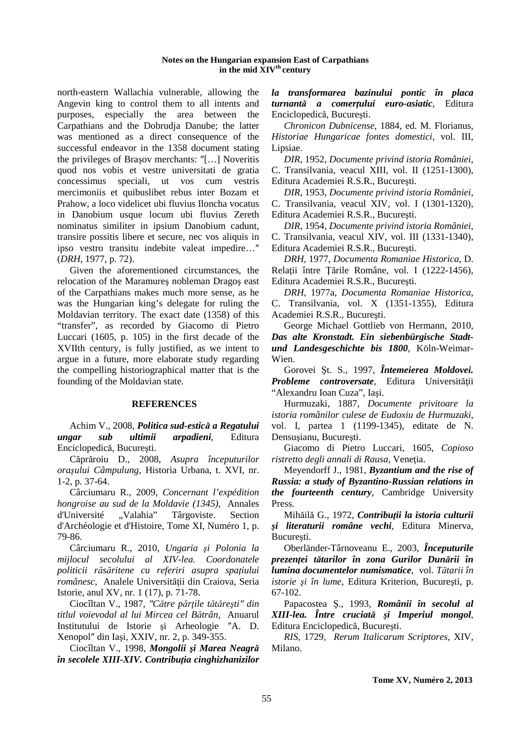#### **Notes on the Hungarian expansion East of Carpathians in the mid XIVth century**

north-eastern Wallachia vulnerable, allowing the Angevin king to control them to all intents and purposes, especially the area between the Carpathians and the Dobrudja Danube; the latter was mentioned as a direct consequence of the successful endeavor in the 1358 document stating the privileges of Braşov merchants: ″[…] Noveritis quod nos vobis et vestre universitati de gratia concessimus speciali, ut vos cum vestris mercimoniis et quibuslibet rebus inter Bozam et Prahow, a loco videlicet ubi fluvius Iloncha vocatus in Danobium usque locum ubi fluvius Zereth nominatus similiter in ipsium Danobium cadunt, transire possitis libere et secure, nec vos aliquis in ipso vestro transitu indebite valeat impedire…″ (*DRH*, 1977, p. 72).

Given the aforementioned circumstances, the relocation of the Maramureş nobleman Dragoş east of the Carpathians makes much more sense, as he was the Hungarian king's delegate for ruling the Moldavian territory. The exact date (1358) of this "transfer", as recorded by Giacomo di Pietro Luccari (1605, p. 105) in the first decade of the XVIIth century, is fully justified, as we intent to argue in a future, more elaborate study regarding the compelling historiographical matter that is the founding of the Moldavian state.

## **REFERENCES**

Achim V., 2008, *Politica sud-estică a Regatului ungar sub ultimii arpadieni*, Editura Enciclopedică, Bucureşti.

Căprăroiu D., 2008, *Asupra începuturilor oraşului Câmpulung*, Historia Urbana, t. XVI, nr. 1-2, p. 37-64.

Cârciumaru R., 2009, *Concernant l'expédition hongroise au sud de la Moldavie (1345)*, Annales d'Université "Valahia" Târgoviste. Section d'Archéologie et d'Histoire, Tome XI, Numéro 1, p. 79-86.

Cârciumaru R., 2010, *Ungaria şi Polonia la mijlocul secolului al XIV-lea. Coordonatele politicii răsăritene cu referiri asupra spaţiului românesc*, Analele Universităţii din Craiova, Seria Istorie, anul XV, nr. 1 (17), p. 71-78.

Ciocîltan V., 1987, *″Către părţile tătăreşti″ din titlul voievodal al lui Mircea cel Bătrân*, Anuarul Institutului de Istorie şi Arheologie ″A. D. Xenopol″ din Iaşi, XXIV, nr. 2, p. 349-355.

Ciocîltan V., 1998, *Mongolii şi Marea Neagră în secolele XIII-XIV. Contribuţia cinghizhanizilor*  *la transformarea bazinului pontic în placa turnantă a comerţului euro-asiatic*, Editura Enciclopedică, Bucureşti.

*Chronicon Dubnicense*, 1884, ed. M. Florianus, *Historiae Hungaricae fontes domestici*, vol. III, Lipsiae.

*DIR*, 1952, *Documente privind istoria României*, C. Transilvania, veacul XIII, vol. II (1251-1300), Editura Academiei R.S.R., Bucureşti.

*DIR*, 1953, *Documente privind istoria României*, C. Transilvania, veacul XIV, vol. I (1301-1320), Editura Academiei R.S.R., Bucureşti.

*DIR*, 1954, *Documente privind istoria României*, C. Transilvania, veacul XIV, vol. III (1331-1340), Editura Academiei R.S.R., Bucureşti.

*DRH*, 1977, *Documenta Romaniae Historica*, D. Relatii între Tările Române, vol. I (1222-1456), Editura Academiei R.S.R., Bucureşti.

*DRH*, 1977a, *Documenta Romaniae Historica*, C. Transilvania, vol. X (1351-1355), Editura Academiei R.S.R., Bucureşti.

George Michael Gottlieb von Hermann, 2010, *Das alte Kronstadt. Ein siebenbürgische Stadtund Landesgeschichte bis 1800*, Köln-Weimar-Wien.

Gorovei Şt. S., 1997, *Întemeierea Moldovei. Probleme controversate*, Editura Universităţii "Alexandru Ioan Cuza", Iaşi.

Hurmuzaki, 1887, *Documente privitoare la istoria românilor culese de Eudoxiu de Hurmuzaki*, vol. I, partea 1 (1199-1345), editate de N. Densuşianu, Bucureşti.

Giacomo di Pietro Luccari, 1605, *Copioso*   $$ 

Meyendorff J., 1981, *Byzantium and the rise of Russia: a study of Byzantino-Russian relations in the fourteenth century*, Cambridge University Press.

Mihăilă G., 1972, *Contribuţii la istoria culturii şi literaturii române vechi*, Editura Minerva, București.

Oberländer-Târnoveanu E., 2003, *Începuturile prezenţei tătarilor în zona Gurilor Dunării în lumina documentelor numismatice*, vol. *Tătarii în istorie şi în lume*, Editura Kriterion, Bucureşti, p. 67-102.

Papacostea Ş., 1993, *Românii în secolul al XIII-lea. Între cruciată şi Imperiul mongol*, Editura Enciclopedică, Bucureşti.

*RIS*, 1729, *Rerum Italicarum Scriptores*, XIV, Milano.